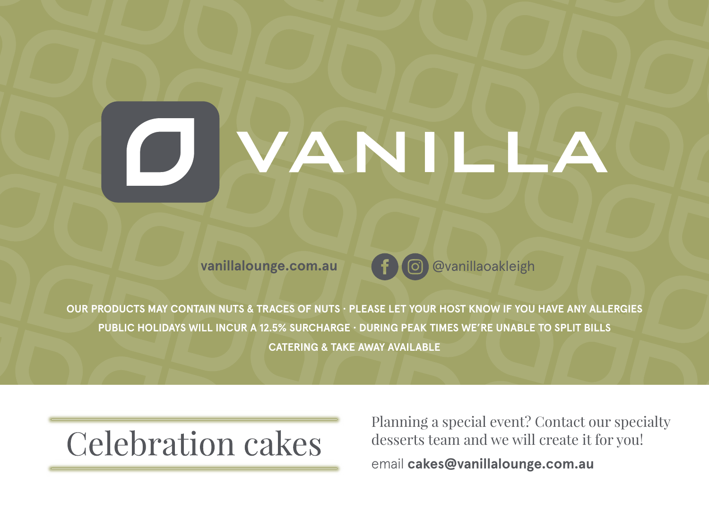# **O VANILLA**



**OUR PRODUCTS MAY CONTAIN NUTS & TRACES OF NUTS · PLEASE LET YOUR HOST KNOW IF YOU HAVE ANY ALLERGIES PUBLIC HOLIDAYS WILL INCUR A 12.5% SURCHARGE · DURING PEAK TIMES WE'RE UNABLE TO SPLIT BILLS CATERING & TAKE AWAY AVAILABLE**



Planning a special event? Contact our specialty desserts team and we will create it for you! email **cakes@vanillalounge.com.au**